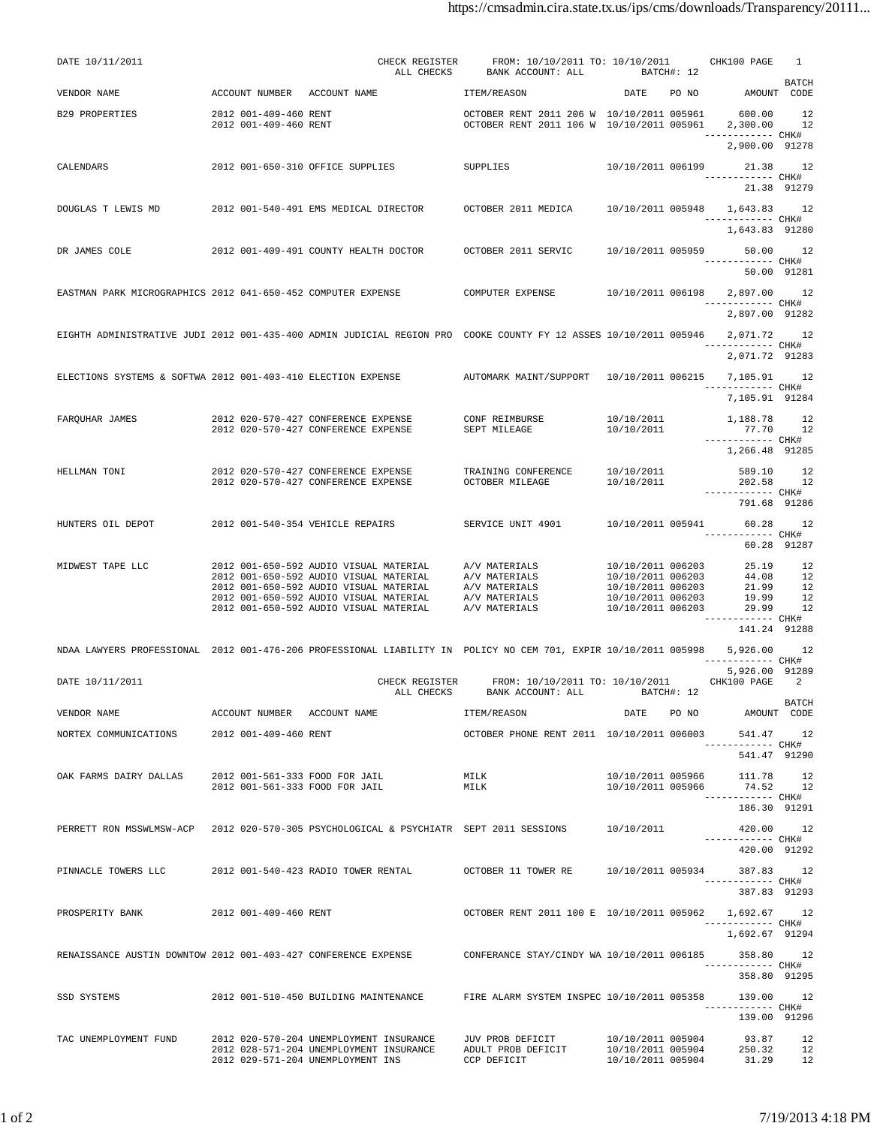| DATE 10/11/2011                                                |                                                | CHECK REGISTER<br>ALL CHECKS                                                                                                 | FROM: 10/10/2011 TO: 10/10/2011 CHK100 PAGE<br>BANK ACCOUNT: ALL BATCH#: 12                                  |                                                                               |       |                                               | 1            |
|----------------------------------------------------------------|------------------------------------------------|------------------------------------------------------------------------------------------------------------------------------|--------------------------------------------------------------------------------------------------------------|-------------------------------------------------------------------------------|-------|-----------------------------------------------|--------------|
| VENDOR NAME                                                    |                                                | ACCOUNT NUMBER ACCOUNT NAME TEM/REASON                                                                                       |                                                                                                              | DATE PO NO AMOUNT CODE                                                        |       |                                               | <b>BATCH</b> |
| B29 PROPERTIES                                                 | 2012 001-409-460 RENT<br>2012 001-409-460 RENT |                                                                                                                              | OCTOBER RENT 2011 206 W 10/10/2011 005961 600.00 12<br>OCTOBER RENT 2011 106 W 10/10/2011 005961 2,300.00 12 |                                                                               |       |                                               |              |
|                                                                |                                                |                                                                                                                              |                                                                                                              |                                                                               |       | ------------ CHK#<br>2,900.00 91278           |              |
| CALENDARS                                                      |                                                | 2012 001-650-310 OFFICE SUPPLIES                                                                                             | <b>SUPPLIES</b>                                                                                              | 10/10/2011 006199                                                             |       | 21.38 12<br>------------ CHK#                 |              |
|                                                                |                                                |                                                                                                                              |                                                                                                              |                                                                               |       | 21.38 91279                                   |              |
|                                                                |                                                | DOUGLAS T LEWIS MD 		 2012 001-540-491 EMS MEDICAL DIRECTOR 		 OCTOBER 2011 MEDICA 		 10/10/2011 005948 		 1,643.83 		 12    |                                                                                                              |                                                                               |       | ------------ CHK#                             |              |
|                                                                |                                                |                                                                                                                              |                                                                                                              |                                                                               |       | 1,643.83 91280                                |              |
| DR JAMES COLE 2012 001-409-491 COUNTY HEALTH DOCTOR            |                                                |                                                                                                                              | OCTOBER 2011 SERVIC                                                                                          | 10/10/2011 005959 50.00 12                                                    |       | ------------ CHK#                             |              |
| EASTMAN PARK MICROGRAPHICS 2012 041-650-452 COMPUTER EXPENSE   |                                                |                                                                                                                              | COMPUTER EXPENSE                                                                                             |                                                                               |       | 50.00 91281                                   |              |
|                                                                |                                                |                                                                                                                              |                                                                                                              |                                                                               |       | ------------ CHK#<br>2,897.00 91282           |              |
|                                                                |                                                | EIGHTH ADMINISTRATIVE JUDI 2012 001-435-400 ADMIN JUDICIAL REGION PRO COOKE COUNTY FY 12 ASSES 10/10/2011 005946 2,071.72 12 |                                                                                                              |                                                                               |       |                                               |              |
|                                                                |                                                |                                                                                                                              |                                                                                                              |                                                                               |       | ------------ CHK#<br>2,071.72 91283           |              |
|                                                                |                                                | ELECTIONS SYSTEMS & SOFTWA 2012 001-403-410 ELECTION EXPENSE AUTOMARK MAINT/SUPPORT 10/10/2011 006215 7,105.91 12            |                                                                                                              |                                                                               |       |                                               |              |
|                                                                |                                                |                                                                                                                              |                                                                                                              |                                                                               |       | ------------ CHK#<br>7,105.91 91284           |              |
|                                                                |                                                | FARQUHAR JAMES 2012 020-570-427 CONFERENCE EXPENSE CONF REIMBURSE<br>2012 020-570-427 CONFERENCE EXPENSE                     | SEPT MILEAGE                                                                                                 | 10/10/2011 1,188.78 12<br>10/10/2011                                          |       | 77.70 12                                      |              |
|                                                                |                                                |                                                                                                                              |                                                                                                              |                                                                               |       | ------------ CHK#<br>1,266.48 91285           |              |
| HELLMAN TONI                                                   |                                                | 2012 020-570-427 CONFERENCE EXPENSE                                                                                          | TRAINING CONFERENCE 10/10/2011                                                                               |                                                                               |       | 589.10 12                                     |              |
|                                                                |                                                | 2012 020-570-427 CONFERENCE EXPENSE                                                                                          | OCTOBER MILEAGE                                                                                              | 10/10/2011                                                                    |       | 202.58 12<br>------------ CHK#                |              |
| HUNTERS OIL DEPOT                                              |                                                | 2012 001-540-354 VEHICLE REPAIRS                                                                                             | SERVICE UNIT 4901                                                                                            | 10/10/2011 005941 60.28 12                                                    |       | 791.68 91286                                  |              |
|                                                                |                                                |                                                                                                                              |                                                                                                              |                                                                               |       | ------------ CHK#<br>60.28 91287              |              |
| MIDWEST TAPE LLC                                               |                                                | 2012 001-650-592 AUDIO VISUAL MATERIAL A/V MATERIALS                                                                         |                                                                                                              | 10/10/2011 006203<br>10/10/2011 006203                                        |       | 25.19 12                                      |              |
|                                                                |                                                | 2012 001-650-592 AUDIO VISUAL MATERIAL<br>2012 001-650-592 AUDIO VISUAL MATERIAL A/V MATERIALS                               | A/V MATERIALS                                                                                                | 10/10/2011 006203                                                             |       | 44.08 12<br>21.99 12                          |              |
|                                                                |                                                | 2012 001-650-592 AUDIO VISUAL MATERIAL A/V MATERIALS<br>2012 001-650-592 AUDIO VISUAL MATERIAL                               | A/V MATERIALS                                                                                                | 10/10/2011 006203<br>10/10/2011 006203                                        |       | $19.99$ $12$<br>29.99 12<br>------------ CHK# |              |
|                                                                |                                                |                                                                                                                              |                                                                                                              |                                                                               |       | 141.24 91288                                  |              |
|                                                                |                                                | NDAA LAWYERS PROFESSIONAL 2012 001-476-206 PROFESSIONAL LIABILITY IN POLICY NO CEM 701, EXPIR 10/10/2011 005998 5,926.00 12  |                                                                                                              |                                                                               |       | ----------- CHK#                              |              |
| DATE 10/11/2011                                                |                                                | CHECK REGISTER                                                                                                               | FROM: 10/10/2011 TO: 10/10/2011 CHK100 PAGE 2                                                                |                                                                               |       | 5,926.00 91289                                |              |
| VENDOR NAME                                                    | ACCOUNT NUMBER ACCOUNT NAME                    | ALL CHECKS                                                                                                                   | BANK ACCOUNT: ALL BATCH#: 12<br>ITEM/REASON                                                                  | DATE                                                                          | PO NO | AMOUNT CODE                                   | BATCH        |
| NORTEX COMMUNICATIONS 2012 001-409-460 RENT                    |                                                |                                                                                                                              | OCTOBER PHONE RENT 2011 10/10/2011 006003                                                                    |                                                                               |       | 541.47                                        | 12           |
|                                                                |                                                |                                                                                                                              |                                                                                                              |                                                                               |       | ------------ CHK#<br>541.47 91290             |              |
| OAK FARMS DAIRY DALLAS                                         | 2012 001-561-333 FOOD FOR JAIL                 |                                                                                                                              | MILK                                                                                                         | 10/10/2011 005966                                                             |       | 111.78                                        | -12          |
|                                                                | 2012 001-561-333 FOOD FOR JAIL                 |                                                                                                                              | MILK                                                                                                         | 10/10/2011 005966                                                             |       | 74.52 12<br>------------ CHK#                 |              |
|                                                                |                                                | PERRETT RON MSSWLMSW-ACP 2012 020-570-305 PSYCHOLOGICAL & PSYCHIATR SEPT 2011 SESSIONS                                       |                                                                                                              | 10/10/2011                                                                    |       | 186.30 91291<br>420.00 12                     |              |
|                                                                |                                                |                                                                                                                              |                                                                                                              |                                                                               |       | ------------ CHK#<br>420.00 91292             |              |
|                                                                |                                                | PINNACLE TOWERS LLC 		 2012 001-540-423 RADIO TOWER RENTAL 		 OCTOBER 11 TOWER RE 		 10/10/2011 005934 		 387.83 		 12       |                                                                                                              |                                                                               |       |                                               |              |
|                                                                |                                                |                                                                                                                              |                                                                                                              |                                                                               |       | ------------ CHK#<br>387.83 91293             |              |
| PROSPERITY BANK                                                | 2012 001-409-460 RENT                          |                                                                                                                              | OCTOBER RENT 2011 100 E 10/10/2011 005962                                                                    |                                                                               |       | 1,692.67 12                                   |              |
|                                                                |                                                |                                                                                                                              |                                                                                                              |                                                                               |       | ------------ CHK#<br>1,692.67 91294           |              |
| RENAISSANCE AUSTIN DOWNTOW 2012 001-403-427 CONFERENCE EXPENSE |                                                |                                                                                                                              | CONFERANCE STAY/CINDY WA 10/10/2011 006185                                                                   |                                                                               |       | 358.80 12<br>----------- CHK#                 |              |
|                                                                |                                                |                                                                                                                              |                                                                                                              |                                                                               |       | 358.80 91295                                  |              |
| SSD SYSTEMS                                                    |                                                | 2012 001-510-450 BUILDING MAINTENANCE                                                                                        | FIRE ALARM SYSTEM INSPEC 10/10/2011 005358                                                                   |                                                                               |       | 139.00 12<br>------------ CHK#                |              |
|                                                                |                                                |                                                                                                                              |                                                                                                              |                                                                               |       | 139.00 91296                                  |              |
| TAC UNEMPLOYMENT FUND                                          |                                                | 2012 020-570-204 UNEMPLOYMENT INSURANCE<br>2012 028-571-204 UNEMPLOYMENT INSURANCE<br>2012 029-571-204 UNEMPLOYMENT INS      | JUV PROB DEFICIT<br>ADULT PROB DEFICIT<br>CCP DEFICIT                                                        | 10/10/2011 005904<br>$10/10/2011$ $005904$ $250.32$ $12$<br>10/10/2011 005904 |       | 93.87 12<br>31.29 12                          |              |
|                                                                |                                                |                                                                                                                              |                                                                                                              |                                                                               |       |                                               |              |